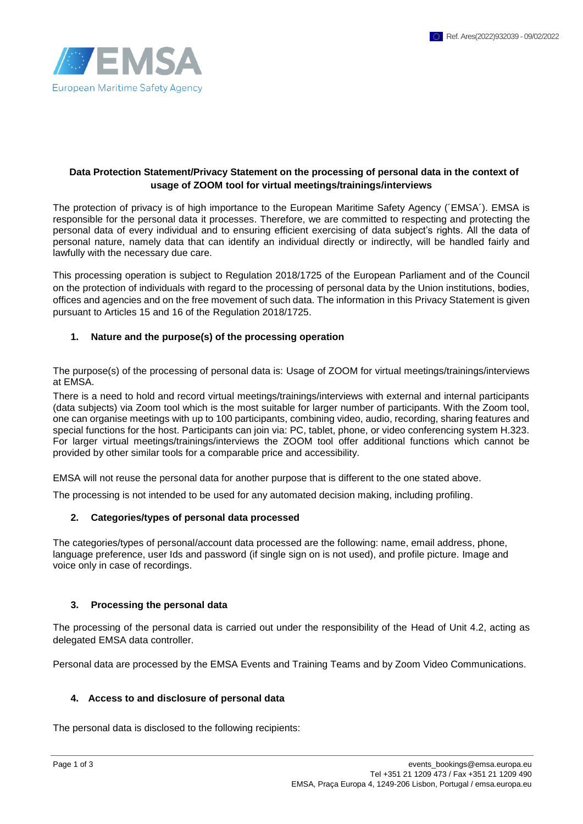

#### **Data Protection Statement/Privacy Statement on the processing of personal data in the context of usage of ZOOM tool for virtual meetings/trainings/interviews**

The protection of privacy is of high importance to the European Maritime Safety Agency (´EMSA´). EMSA is responsible for the personal data it processes. Therefore, we are committed to respecting and protecting the personal data of every individual and to ensuring efficient exercising of data subject's rights. All the data of personal nature, namely data that can identify an individual directly or indirectly, will be handled fairly and lawfully with the necessary due care.

This processing operation is subject to Regulation 2018/1725 of the European Parliament and of the Council on the protection of individuals with regard to the processing of personal data by the Union institutions, bodies, offices and agencies and on the free movement of such data. The information in this Privacy Statement is given pursuant to Articles 15 and 16 of the Regulation 2018/1725.

### **1. Nature and the purpose(s) of the processing operation**

The purpose(s) of the processing of personal data is: Usage of ZOOM for virtual meetings/trainings/interviews at EMSA.

There is a need to hold and record virtual meetings/trainings/interviews with external and internal participants (data subjects) via Zoom tool which is the most suitable for larger number of participants. With the Zoom tool, one can organise meetings with up to 100 participants, combining video, audio, recording, sharing features and special functions for the host. Participants can join via: PC, tablet, phone, or video conferencing system H.323. For larger virtual meetings/trainings/interviews the ZOOM tool offer additional functions which cannot be provided by other similar tools for a comparable price and accessibility.

EMSA will not reuse the personal data for another purpose that is different to the one stated above.

The processing is not intended to be used for any automated decision making, including profiling.

#### **2. Categories/types of personal data processed**

The categories/types of personal/account data processed are the following: name, email address, phone, language preference, user Ids and password (if single sign on is not used), and profile picture. Image and voice only in case of recordings.

#### **3. Processing the personal data**

The processing of the personal data is carried out under the responsibility of the Head of Unit 4.2, acting as delegated EMSA data controller.

Personal data are processed by the EMSA Events and Training Teams and by Zoom Video Communications.

#### **4. Access to and disclosure of personal data**

The personal data is disclosed to the following recipients: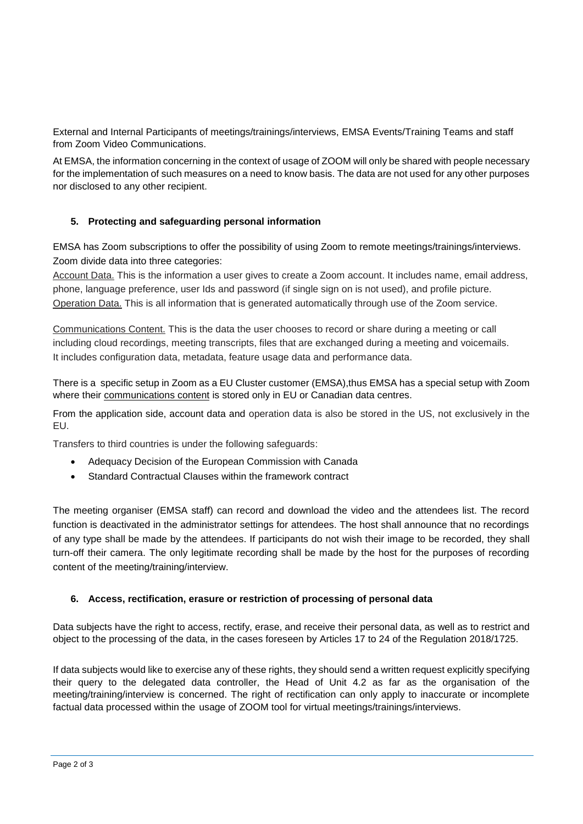External and Internal Participants of meetings/trainings/interviews, EMSA Events/Training Teams and staff from Zoom Video Communications.

At EMSA, the information concerning in the context of usage of ZOOM will only be shared with people necessary for the implementation of such measures on a need to know basis. The data are not used for any other purposes nor disclosed to any other recipient.

# **5. Protecting and safeguarding personal information**

EMSA has Zoom subscriptions to offer the possibility of using Zoom to remote meetings/trainings/interviews. Zoom divide data into three categories:

Account Data. This is the information a user gives to create a Zoom account. It includes name, email address, phone, language preference, user Ids and password (if single sign on is not used), and profile picture. Operation Data. This is all information that is generated automatically through use of the Zoom service.

Communications Content. This is the data the user chooses to record or share during a meeting or call including cloud recordings, meeting transcripts, files that are exchanged during a meeting and voicemails. It includes configuration data, metadata, feature usage data and performance data.

There is a specific setup in Zoom as a EU Cluster customer (EMSA),thus EMSA has a special setup with Zoom where their communications content is stored only in EU or Canadian data centres.

From the application side, account data and operation data is also be stored in the US, not exclusively in the EU.

Transfers to third countries is under the following safeguards:

- Adequacy Decision of the European Commission with Canada
- Standard Contractual Clauses within the framework contract

The meeting organiser (EMSA staff) can record and download the video and the attendees list. The record function is deactivated in the administrator settings for attendees. The host shall announce that no recordings of any type shall be made by the attendees. If participants do not wish their image to be recorded, they shall turn-off their camera. The only legitimate recording shall be made by the host for the purposes of recording content of the meeting/training/interview.

## **6. Access, rectification, erasure or restriction of processing of personal data**

Data subjects have the right to access, rectify, erase, and receive their personal data, as well as to restrict and object to the processing of the data, in the cases foreseen by Articles 17 to 24 of the Regulation 2018/1725.

If data subjects would like to exercise any of these rights, they should send a written request explicitly specifying their query to the delegated data controller, the Head of Unit 4.2 as far as the organisation of the meeting/training/interview is concerned. The right of rectification can only apply to inaccurate or incomplete factual data processed within the usage of ZOOM tool for virtual meetings/trainings/interviews.